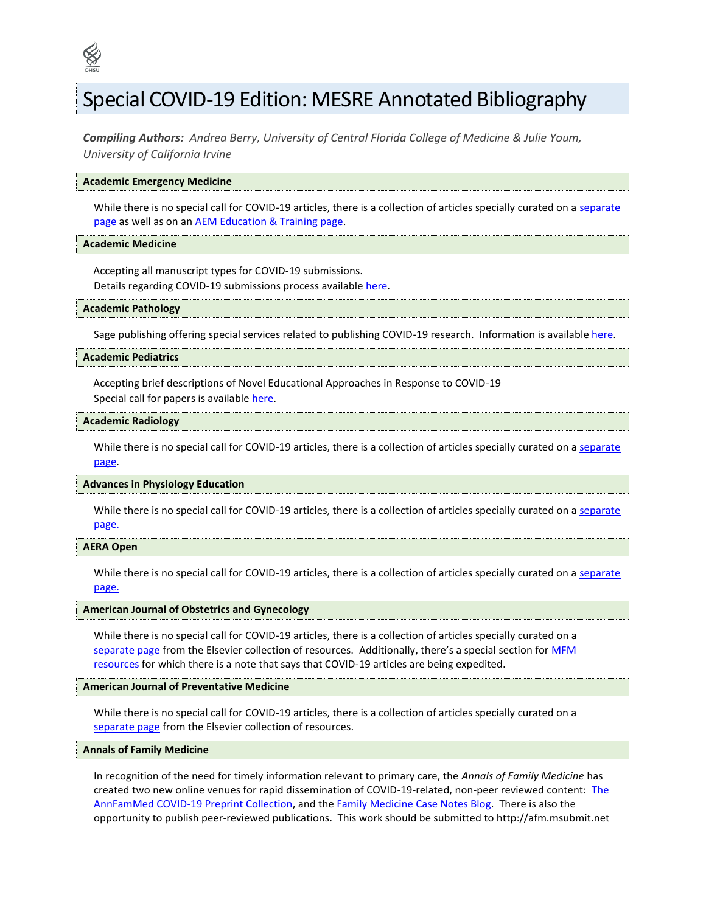# Special COVID-19 Edition: MESRE Annotated Bibliography

*Compiling Authors: Andrea Berry, University of Central Florida College of Medicine & Julie Youm, University of California Irvine*

# **Academic Emergency Medicine**

While there is no special call for COVID-19 articles, there is a collection of articles specially curated on a separate [page](https://onlinelibrary.wiley.com/journal/15532712/covid19) as well as on an [AEM Education & Training page.](https://onlinelibrary.wiley.com/journal/24725390/covid19)

#### **Academic Medicine**

Accepting all manuscript types for COVID-19 submissions. Details regarding COVID-19 submissions process availabl[e here.](http://academicmedicineblog.org/academic-medicines-response-to-covid-19/)

#### **Academic Pathology**

Sage publishing offering special services related to publishing COVID-19 research. Information is availabl[e here.](https://us.sagepub.com/en-us/nam/press/sage-publishing-statement-on-the-covid-19-pandemic.)

# **Academic Pediatrics**

Accepting brief descriptions of Novel Educational Approaches in Response to COVID-19 Special call for papers is availabl[e here.](https://www.academicpeds.org/announcements/special-call-for-papers-novel-educational-approaches-in-response-to-covid-19/)

# **Academic Radiology**

While there is no special call for COVID-19 articles, there is a collection of articles specially curated on a separate [page.](https://www.sciencedirect.com/search?qs=%22COVID-19%22%20OR%20Coronavirus%20OR%20%22Corona%20virus%22%20OR%20Coronaviruses%20OR%20%222019-nCoV%22%20OR%20%22SARS-CoV%22%20OR%20%22MERS-CoV%22%20OR%20%E2%80%9CSevere%20Acute%20Respiratory%20Syndrome%E2%80%9D%20OR%20%E2%80%9CMiddle%20East%20Respiratory%20Syndrome%E2%80%9D&show=100&ent=true)

# **Advances in Physiology Education**

While there is no special call for COVID-19 articles, there is a collection of articles specially curated on a separate [page.](https://journals.physiology.org/covid19)

# **AERA Open**

While there is no special call for COVID-19 articles, there is a collection of articles specially curated on a separate [page.](https://www.aera.net/Education-Research/Issues-and-Initiatives/Coronavirus-Pandemic)

# **American Journal of Obstetrics and Gynecology**

While there is no special call for COVID-19 articles, there is a collection of articles specially curated on a [separate page](https://www.ajog.org/coronavirus_guidance) from the Elsevier collection of resources. Additionally, there's a special section for [MFM](https://www.ajog.org/coronavirus_guidance_ajog_mfm)  [resources](https://www.ajog.org/coronavirus_guidance_ajog_mfm) for which there is a note that says that COVID-19 articles are being expedited.

#### **American Journal of Preventative Medicine**

While there is no special call for COVID-19 articles, there is a collection of articles specially curated on a [separate page](https://www.ajpmonline.org/content/covid-19-pandemic) from the Elsevier collection of resources.

# **Annals of Family Medicine**

In recognition of the need for timely information relevant to primary care, the *Annals of Family Medicine* has created two new online venues for rapid dissemination of COVID-19-related, non-peer reviewed content:[The](https://www.annfammed.org/content/covid-19-collection)  [AnnFamMed COVID-19 Preprint Collection,](https://www.annfammed.org/content/covid-19-collection) and the [Family Medicine Case Notes Blog.](https://medium.com/case-notes-from-the-covid-19-front-lines) There is also the opportunity to publish peer-reviewed publications. This work should be submitted to http://afm.msubmit.net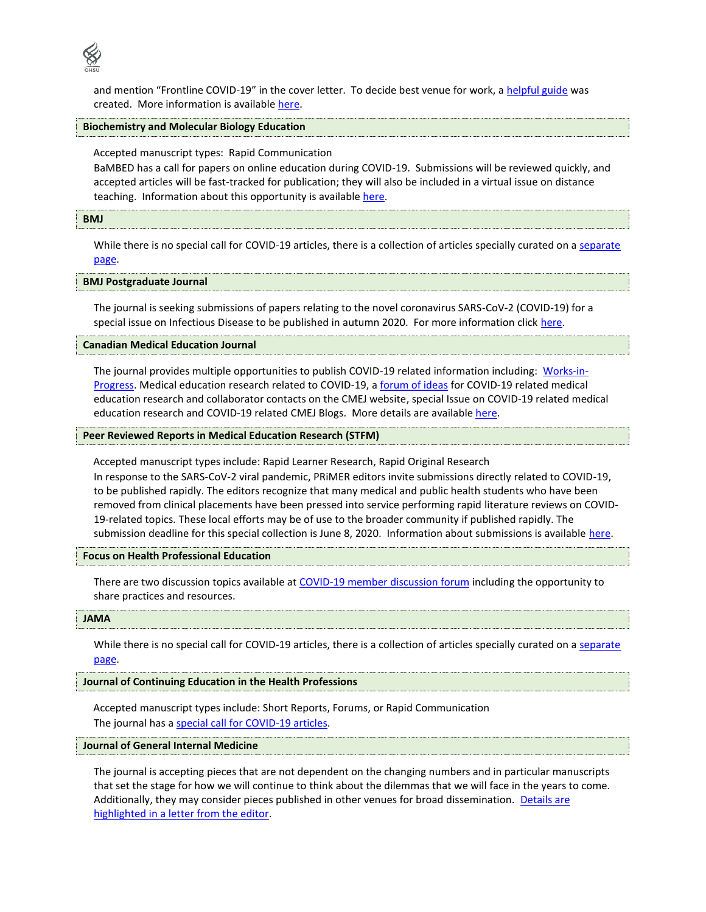

and mention "Frontline COVID-19" in the cover letter. To decide best venue for work, [a helpful guide](https://www.annfammed.org/sites/default/files/additional_assets/PDF%20Documents/PDF/AnnFamMed_COVID19_submissions_FAQ.pdf) was created. More information is available [here.](https://www.aafp.org/news/health-of-the-public/20200327annalsfmcovid.html)

# **Biochemistry and Molecular Biology Education**

Accepted manuscript types: Rapid Communication

BaMBED has a call for papers on online education during COVID-19. Submissions will be reviewed quickly, and accepted articles will be fast-tracked for publication; they will also be included in a virtual issue on distance teaching. Information about this opportunity is available [here.](https://iubmb.onlinelibrary.wiley.com/doi/toc/10.1002/(ISSN)1539-3429.teaching-COVID-19)

#### **BMJ**

While there is no special call for COVID-19 articles, there is a collection of articles specially curated on a separate [page.](https://www.bmj.com/coronavirus)

#### **BMJ Postgraduate Journal**

The journal is seeking submissions of papers relating to the novel coronavirus SARS-CoV-2 (COVID-19) for a special issue on Infectious Disease to be published in autumn 2020. For more information click [here.](https://pmj.bmj.com/pages/wp-content/uploads/sites/36/2020/03/PMJ-ID-special-issue-call-for-papers.pdf)

### **Canadian Medical Education Journal**

The journal provides multiple opportunities to publish COVID-19 related information including: [Works-in-](https://journalhosting.ucalgary.ca/index.php/cmej/announcement/view/415)[Progress.](https://journalhosting.ucalgary.ca/index.php/cmej/announcement/view/415) Medical education research related to COVID-19, a [forum of ideas](https://docs.google.com/spreadsheets/d/1S2J4tJ67XlPBfnv2YiRXmLuA6mQKQWCf_-T3EgrbQB4/edit?usp=sharing) for COVID-19 related medical education research and collaborator contacts on the CMEJ website, special Issue on COVID-19 related medical education research and COVID-19 related CMEJ Blogs. More details are availabl[e here.](https://journalhosting.ucalgary.ca/index.php/cmej/index)

# **Peer Reviewed Reports in Medical Education Research (STFM)**

Accepted manuscript types include: Rapid Learner Research, Rapid Original Research In response to the SARS-CoV-2 viral pandemic, PRiMER editors invite submissions directly related to COVID-19, to be published rapidly. The editors recognize that many medical and public health students who have been removed from clinical placements have been pressed into service performing rapid literature reviews on COVID-19-related topics. These local efforts may be of use to the broader community if published rapidly. The submission deadline for this special collection is June 8, 2020. Information about submissions is available [here.](https://journals.stfm.org/media/3084/primer-call-covid-19-collection.pdf)

#### **Focus on Health Professional Education**

There are two discussion topics available at [COVID-19 member](https://www.anzahpe.org/COVID-19-education-resources) discussion forum including the opportunity to share practices and resources.

#### **JAMA**

While there is no special call for COVID-19 articles, there is a collection of articles specially curated on a separate [page.](https://jamanetwork.com/collections/46099/coronavirus-covid19)

# **Journal of Continuing Education in the Health Professions**

Accepted manuscript types include: Short Reports, Forums, or Rapid Communication The journal has a [special call for COVID-19 articles.](https://journals.lww.com/jcehp/Documents/COVID19%20CFP%202020.pdf)

#### **Journal of General Internal Medicine**

The journal is accepting pieces that are not dependent on the changing numbers and in particular manuscripts that set the stage for how we will continue to think about the dilemmas that we will face in the years to come. Additionally, they may consider pieces published in other venues for broad dissemination. [Details are](https://www.ncbi.nlm.nih.gov/pmc/articles/PMC7176311/)  [highlighted in a letter from the editor.](https://www.ncbi.nlm.nih.gov/pmc/articles/PMC7176311/)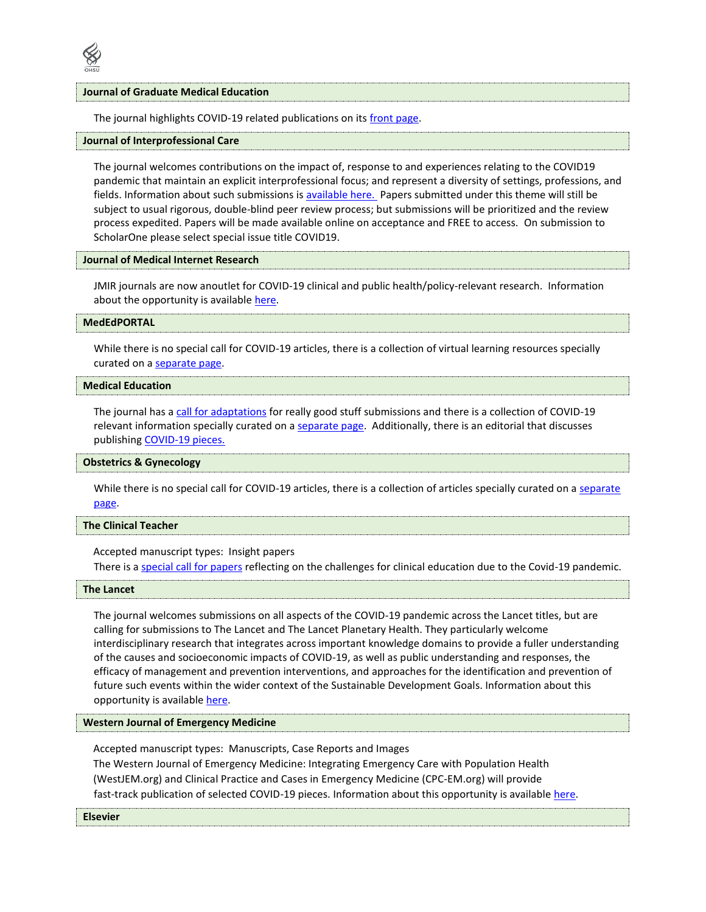

#### **Journal of Graduate Medical Education**

The journal highlights COVID-19 related publications on its [front page.](https://www.jgme.org/)

# **Journal of Interprofessional Care**

The journal welcomes contributions on the impact of, response to and experiences relating to the COVID19 pandemic that maintain an explicit interprofessional focus; and represent a diversity of settings, professions, and fields. Information about such submissions is [available here. P](https://think.taylorandfrancis.com/special_issues/covid19-interprof-considerations/)apers submitted under this theme will still be subject to usual rigorous, double-blind peer review process; but submissions will be prioritized and the review process expedited. Papers will be made available online on acceptance and FREE to access. On submission to ScholarOne please select special issue title COVID19.

# **Journal of Medical Internet Research**

JMIR journals are now anoutlet for COVID-19 clinical and public health/policy-relevant research. Information about the opportunity is available [here.](https://www.jmir.org/announcement/view/202)

# **MedEdPORTAL**

While there is no special call for COVID-19 articles, there is a collection of virtual learning resources specially curated on a [separate page.](https://www.mededportal.org/virtual)

# **Medical Education**

The journal has a [call for adaptations](https://onlinelibrary.wiley.com/doi/full/10.1111/medu.14172) for really good stuff submissions and there is a collection of COVID-19 relevant information specially curated on a [separate page.](https://onlinelibrary.wiley.com/doi/toc/10.1002/(ISSN)1365-2923.covid.vi) Additionally, there is an editorial that discusses publishin[g COVID-19 pieces.](https://onlinelibrary.wiley.com/doi/10.1111/medu.14164)

## **Obstetrics & Gynecology**

While there is no special call for COVID-19 articles, there is a collection of articles specially curated on a separate [page.](https://journals.lww.com/greenjournal/pages/collectiondetails.aspx?TopicalCollectionId=248)

# **The Clinical Teacher**

Accepted manuscript types: Insight papers There is [a special call for papers](https://onlinelibrary.wiley.com/pb-assets/assets/1743498X/TCT_call_for_COVID_insights_papers-1587122434797.pdf) reflecting on the challenges for clinical education due to the Covid-19 pandemic.

#### **The Lancet**

The journal welcomes submissions on all aspects of the COVID-19 pandemic across the Lancet titles, but are calling for submissions to The Lancet and The Lancet Planetary Health. They particularly welcome interdisciplinary research that integrates across important knowledge domains to provide a fuller understanding of the causes and socioeconomic impacts of COVID-19, as well as public understanding and responses, the efficacy of management and prevention interventions, and approaches for the identification and prevention of future such events within the wider context of the Sustainable Development Goals. Information about this opportunity is available [here.](https://www.thelancet.com/journals/lancet/article/PIIS0140-6736(20)30742-X/fulltext)

#### **Western Journal of Emergency Medicine**

Accepted manuscript types: Manuscripts, Case Reports and Images

The Western Journal of Emergency Medicine: Integrating Emergency Care with Population Health (WestJEM.org) and Clinical Practice and Cases in Emergency Medicine (CPC-EM.org) will provide fast-track publication of selected COVID-19 pieces. Information about this opportunity is availabl[e here.](https://westjem.com/wp-content/uploads/2020/03/Final-COVID-19-HTML-Message.pdf)

#### **Elsevier**